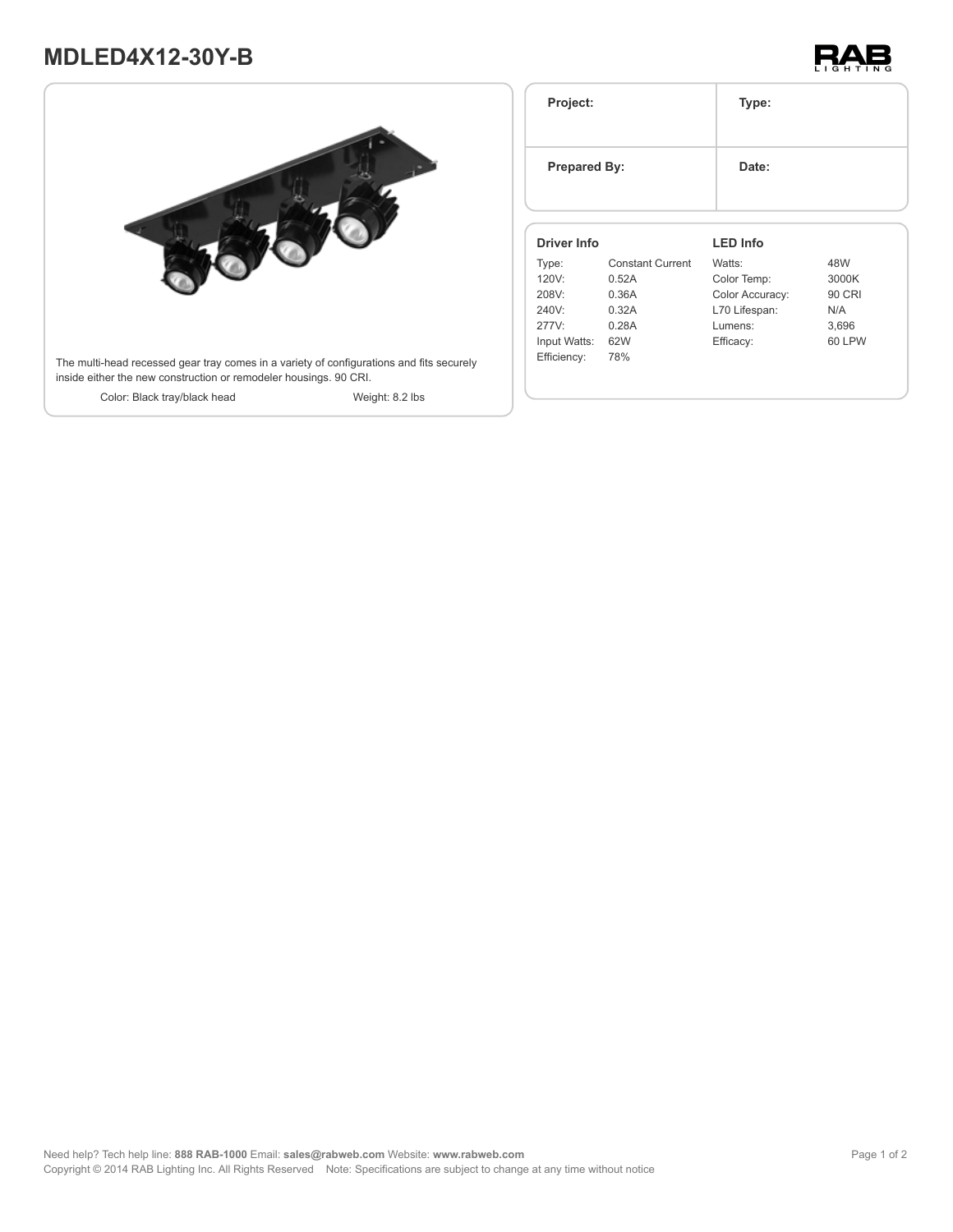# **MDLED4X12-30Y-B**





| Project:<br><b>Prepared By:</b><br><b>Driver Info</b> |                         | Type:           |        |
|-------------------------------------------------------|-------------------------|-----------------|--------|
|                                                       |                         | Date:           |        |
|                                                       |                         | <b>LED Info</b> |        |
| Type:                                                 | <b>Constant Current</b> | Watts:          | 48W    |
| 120V:                                                 | 0.52A                   | Color Temp:     | 3000K  |
| 208V:                                                 | 0.36A                   | Color Accuracy: | 90 CRI |
| 240V:                                                 | 0.32A                   | L70 Lifespan:   | N/A    |
|                                                       |                         | Lumens:         | 3,696  |
| 277V:                                                 | 0.28A                   |                 |        |
| Input Watts:                                          | 62W                     | Efficacy:       | 60 LPW |